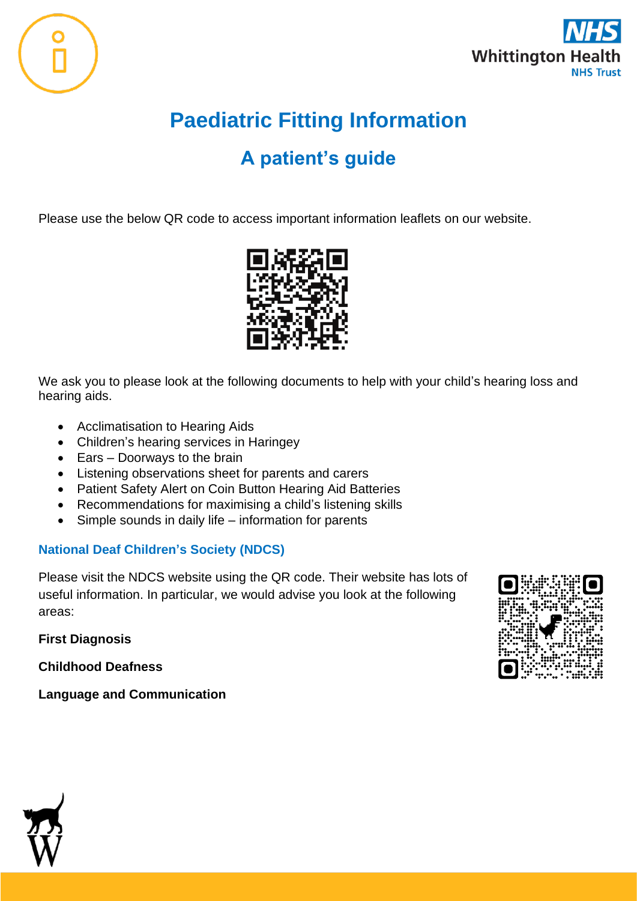



## **Paediatric Fitting Information**

## **A patient's guide**

Please use the below QR code to access important information leaflets on our website.



We ask you to please look at the following documents to help with your child's hearing loss and hearing aids.

- Acclimatisation to Hearing Aids
- Children's hearing services in Haringey
- Ears Doorways to the brain
- Listening observations sheet for parents and carers
- Patient Safety Alert on Coin Button Hearing Aid Batteries
- Recommendations for maximising a child's listening skills
- Simple sounds in daily life information for parents

## **National Deaf Children's Society (NDCS)**

Please visit the NDCS website using the QR code. Their website has lots of useful information. In particular, we would advise you look at the following areas:

**First Diagnosis** 

**Childhood Deafness**

**Language and Communication**